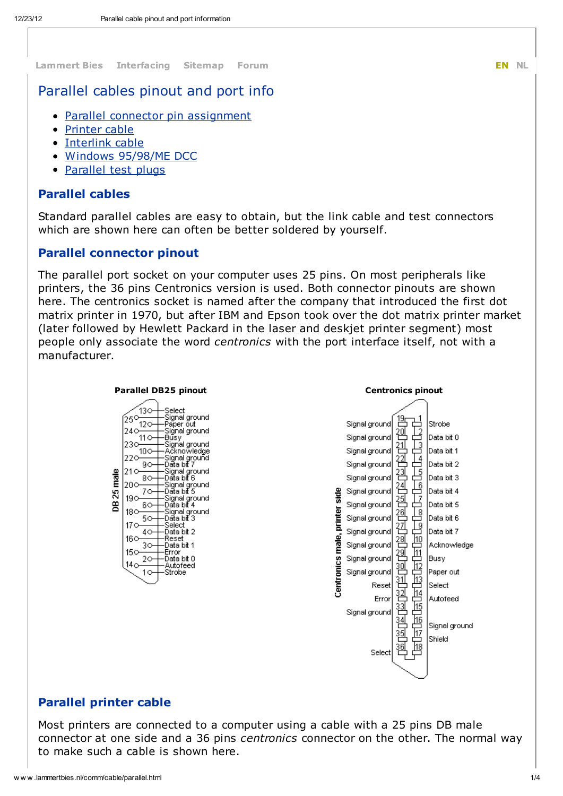[Lammert](http://www.lammertbies.nl/index.html) Bies [Interfacing](http://www.lammertbies.nl/comm/index.html) [Sitemap](http://www.lammertbies.nl/sitemap.html) [Forum](http://www.lammertbies.nl/forum/index.php) **EN [NL](http://www.lammertbies.nl/comm/cable/nl_parallel.html)** 

# Parallel cables pinout and port info

- Parallel connector pin [assignment](http://www.lammertbies.nl/comm/cable/parallel.html#pins)
- [Printer](http://www.lammertbies.nl/comm/cable/parallel.html#prnt) cable
- [Interlink](http://www.lammertbies.nl/comm/cable/parallel.html#intr) cable
- Windows [95/98/ME](http://www.lammertbies.nl/comm/cable/parallel.html#intr) DCC
- [Parallel](http://www.lammertbies.nl/comm/cable/parallel.html#test) test plugs

## Parallel cables

Standard parallel cables are easy to obtain, but the link cable and test connectors which are shown here can often be better soldered by yourself.

#### Parallel connector pinout

The parallel port socket on your computer uses 25 pins. On most peripherals like printers, the 36 pins Centronics version is used. Both connector pinouts are shown here. The centronics socket is named after the company that introduced the first dot matrix printer in 1970, but after IBM and Epson took over the dot matrix printer market (later followed by Hewlett Packard in the laser and deskjet printer segment) most people only associate the word centronics with the port interface itself, not with a manufacturer.



### Parallel printer cable

Most printers are connected to a computer using a cable with a 25 pins DB male connector at one side and a 36 pins centronics connector on the other. The normal way to make such a cable is shown here.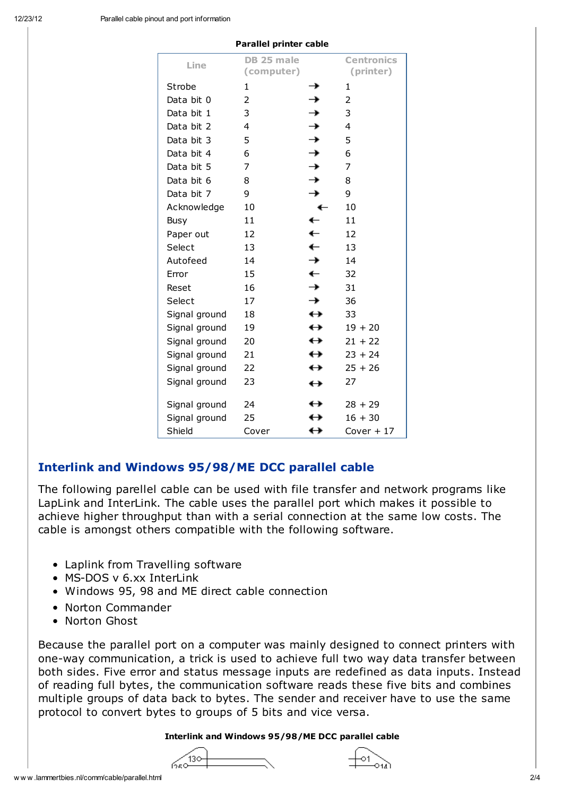|               | raraner printer cable    |                   |                                |
|---------------|--------------------------|-------------------|--------------------------------|
| Line          | DB 25 male<br>(computer) |                   | <b>Centronics</b><br>(printer) |
| Strobe        | 1                        | →                 | 1                              |
| Data bit 0    | 2                        | →                 | 2                              |
| Data bit 1    | 3                        | →                 | 3                              |
| Data bit 2    | 4                        | →                 | 4                              |
| Data bit 3    | 5                        | →                 | 5                              |
| Data bit 4    | 6                        | →                 | 6                              |
| Data bit 5    | 7                        | →                 | 7                              |
| Data bit 6    | 8                        | →                 | 8                              |
| Data bit 7    | 9                        | →                 | 9                              |
| Acknowledge   | 10                       | ←                 | 10                             |
| Busy          | 11                       | ←                 | 11                             |
| Paper out     | 12                       | $\leftarrow$      | 12                             |
| Select        | 13                       | ←                 | 13                             |
| Autofeed      | 14                       | →                 | 14                             |
| Error         | 15                       | ←                 | 32                             |
| Reset         | 16                       | →                 | 31                             |
| Select        | 17                       | →                 | 36                             |
| Signal ground | 18                       | $\leftrightarrow$ | 33                             |
| Signal ground | 19                       | $\leftrightarrow$ | $19 + 20$                      |
| Signal ground | 20                       | $\leftrightarrow$ | $21 + 22$                      |
| Signal ground | 21                       | $\leftrightarrow$ | $23 + 24$                      |
| Signal ground | 22                       | ↔                 | $25 + 26$                      |
| Signal ground | 23                       | $\leftrightarrow$ | 27                             |
| Signal ground | 24                       | $\leftrightarrow$ | $28 + 29$                      |
| Signal ground | 25                       | ↔                 | $16 + 30$                      |
| Shield        | Cover                    | ↔                 | $Cover + 17$                   |

Parallel printer cable

## Interlink and Windows 95/98/ME DCC parallel cable

The following parellel cable can be used with file transfer and network programs like LapLink and InterLink. The cable uses the parallel port which makes it possible to achieve higher throughput than with a serial connection at the same low costs. The cable is amongst others compatible with the following software.

- Laplink from Travelling software
- MS-DOS v 6.xx InterLink
- Windows 95, 98 and ME direct cable connection
- Norton Commander
- Norton Ghost

Because the parallel port on a computer was mainly designed to connect printers with one-way communication, a trick is used to achieve full two way data transfer between both sides. Five error and status message inputs are redefined as data inputs. Instead of reading full bytes, the communication software reads these five bits and combines multiple groups of data back to bytes. The sender and receiver have to use the same protocol to convert bytes to groups of 5 bits and vice versa.

Interlink and Windows 95/98/ME DCC parallel cable



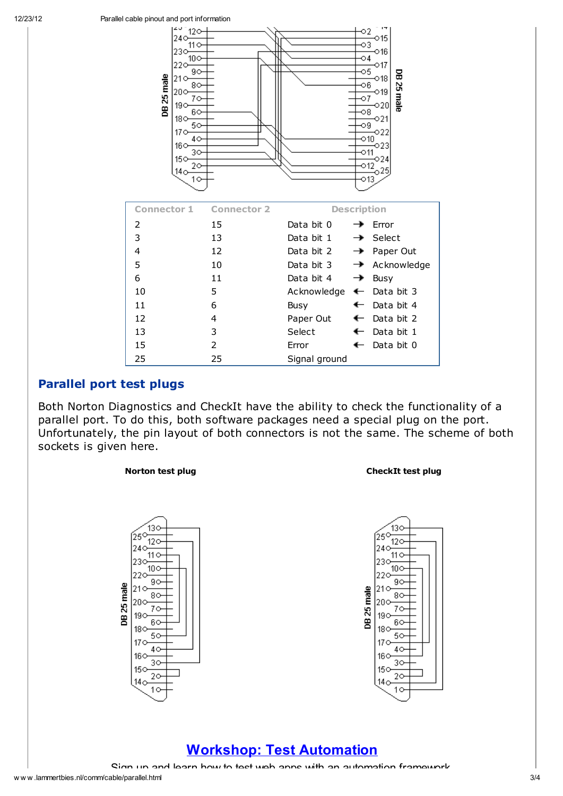

## Parallel port test plugs

Both Norton Diagnostics and CheckIt have the ability to check the functionality of a parallel port. To do this, both software packages need a special plug on the port. Unfortunately, the pin layout of both connectors is not the same. The scheme of both sockets is given here.

#### Norton test plug and the control of the CheckIt test plug





## Workshop: Test [Automation](http://www.googleadservices.com/pagead/aclk?sa=L&ai=CybB8uDHXUMTrGuSaigbnqIDID9Le5L4CgpailjnAjbcBEAEg4dXnHFC93Ivk-P____8BYPmCgICQEKABtrW93wPIAQGpAk4hV9v855E-qAMByAPfBKoEgwFP0MJH55NQ4oFWbPley0duXmqMGV7Tmk34QOqMI4wrS8M0XxdGnBNdA5OlaYl2jTvYSPxenLLG2ouOETD_d7STW-DCQ88tydqxZxu3CnlrqqK4_mFUPwCDXSLl4f2L1zSwPKPqnJBc4HxI9FSgaYzHRHBK5lWQhfQ9wyPaUtrsqAMOtogGAYAHssrCIA&num=1&cid=5GimR_7aVXjdGNxRMArM9iSp&sig=AOD64_2qDzdUohg06KIZuL3oxIiSOWNvbA&client=ca-pub-6047068539528156&adurl=http://agilepractitioners2013.com/markus-gartner-test-automation-coderetreat/)